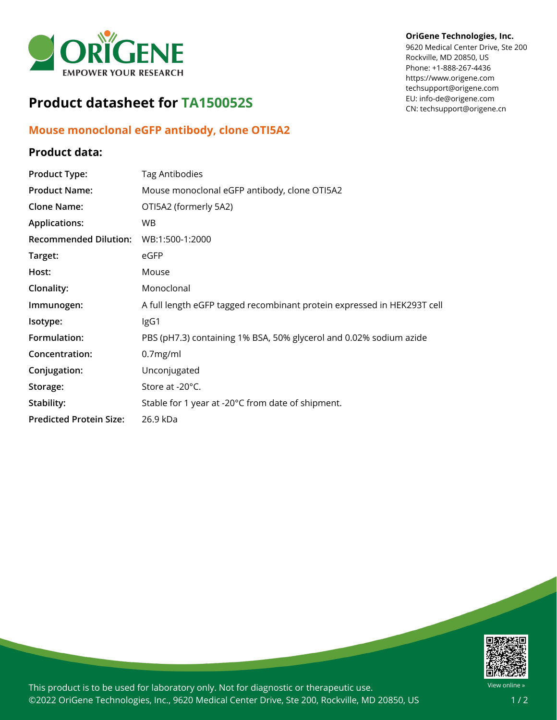

# **Product datasheet for TA150052S**

## **Mouse monoclonal eGFP antibody, clone OTI5A2**

### **Product data:**

#### **OriGene Technologies, Inc.**

9620 Medical Center Drive, Ste 200 Rockville, MD 20850, US Phone: +1-888-267-4436 https://www.origene.com techsupport@origene.com EU: info-de@origene.com CN: techsupport@origene.cn

| <b>Product Type:</b>           | <b>Tag Antibodies</b>                                                   |
|--------------------------------|-------------------------------------------------------------------------|
| <b>Product Name:</b>           | Mouse monoclonal eGFP antibody, clone OTI5A2                            |
| <b>Clone Name:</b>             | OTI5A2 (formerly 5A2)                                                   |
| <b>Applications:</b>           | <b>WB</b>                                                               |
| <b>Recommended Dilution:</b>   | WB:1:500-1:2000                                                         |
| Target:                        | eGFP                                                                    |
| Host:                          | Mouse                                                                   |
| Clonality:                     | Monoclonal                                                              |
| Immunogen:                     | A full length eGFP tagged recombinant protein expressed in HEK293T cell |
| Isotype:                       | IgG1                                                                    |
| Formulation:                   | PBS (pH7.3) containing 1% BSA, 50% glycerol and 0.02% sodium azide      |
| Concentration:                 | 0.7mg/ml                                                                |
| Conjugation:                   | Unconjugated                                                            |
| Storage:                       | Store at -20°C.                                                         |
| Stability:                     | Stable for 1 year at -20°C from date of shipment.                       |
| <b>Predicted Protein Size:</b> | 26.9 kDa                                                                |



This product is to be used for laboratory only. Not for diagnostic or therapeutic use. ©2022 OriGene Technologies, Inc., 9620 Medical Center Drive, Ste 200, Rockville, MD 20850, US